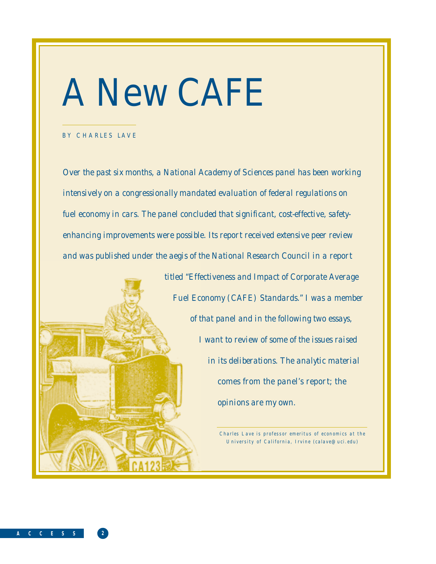# A New CAFE

### BY CHARLES LAVE

**A C C E S S 2**

*Over the past six months, a National Academy of Sciences panel has been working intensively on a congressionally mandated evaluation of federal regulations on fuel economy in cars. The panel concluded that significant, cost-effective, safetyenhancing improvements were possible. Its report received extensive peer review and was published under the aegis of the National Research Council in a report*

> *titled "Effectiveness and Impact of Corporate Average Fuel Economy (CAFE) Standards." I was a member of that panel and in the following two essays, I want to review of some of the issues raised in its deliberations. The analytic material comes from the panel's report; the opinions are my own.*

> > *Charles Lave is professor emeritus of economics at the University of California, Irvine (calave@uci.edu)*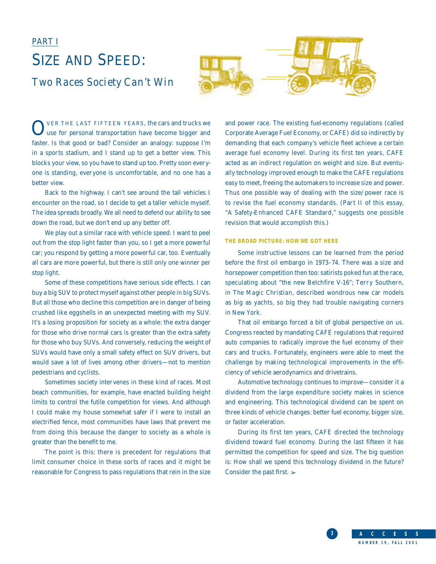### PART I SIZE AND SPEED: *Two Races Society Can't Win*





OVER THE LAST FIFTEEN YEARS, the cars and trucks we use for personal transportation have become bigger and faster. Is that good or bad? Consider an analogy: suppose I'm in a sports stadium, and I stand up to get a better view. This blocks your view, so you have to stand up too. Pretty soon everyone is standing, everyone is uncomfortable, and no one has a better view.

Back to the highway. I can't see around the tall vehicles I encounter on the road, so I decide to get a taller vehicle myself. The idea spreads broadly. We all need to defend our ability to see down the road, but we don't end up any better off.

We play out a similar race with vehicle speed: I want to peel out from the stop light faster than you, so I get a more powerful car; you respond by getting a more powerful car, too. Eventually all cars are more powerful, but there is still only one winner per stop light.

Some of these competitions have serious side effects. I can buy a big SUV to protect myself against other people in big SUVs. But all those who decline this competition are in danger of being crushed like eggshells in an unexpected meeting with my SUV. It's a losing proposition for society as a whole: the extra danger for those who drive normal cars is greater than the extra safety for those who buy SUVs. And conversely, reducing the weight of SUVs would have only a small safety effect on SUV drivers, but would save a lot of lives among other drivers—not to mention pedestrians and cyclists.

Sometimes society intervenes in these kind of races. Most beach communities, for example, have enacted building height limits to control the futile competition for views. And although I could make my house somewhat safer if I were to install an electrified fence, most communities have laws that prevent me from doing this because the danger to society as a whole is greater than the benefit to me.

The point is this: there is precedent for regulations that limit consumer choice in these sorts of races and it might be reasonable for Congress to pass regulations that rein in the size

and power race. The existing fuel-economy regulations (called Corporate Average Fuel Economy, or CAFE) did so indirectly by demanding that each company's vehicle fleet achieve a certain average fuel economy level. During its first ten years, CAFE acted as an indirect regulation on weight and size. But eventually technology improved enough to make the CAFE regulations easy to meet, freeing the automakers to increase size and power. Thus one possible way of dealing with the size/power race is to revise the fuel economy standards. (Part II of this essay, "A Safety-Enhanced CAFE Standard," suggests one possible revision that would accomplish this.)

### **THE BROAD PICTURE: HOW WE GOT HERE**

Some instructive lessons can be learned from the period before the first oil embargo in 1973–74. There was a size and horsepower competition then too: satirists poked fun at the race, speculating about "the new Belchfire V-16"; Terry Southern, in *The Magic Christian*, described wondrous new car models as big as yachts, so big they had trouble navigating corners in New York.

That oil embargo forced a bit of global perspective on us. Congress reacted by mandating CAFE regulations that required auto companies to radically improve the fuel economy of their cars and trucks. Fortunately, engineers were able to meet the challenge by making technological improvements in the efficiency of vehicle aerodynamics and drivetrains.

Automotive technology continues to improve—consider it a dividend from the large expenditure society makes in science and engineering. This technological dividend can be spent on three kinds of vehicle changes: better fuel economy, bigger size, or faster acceleration.

During its first ten years, CAFE directed the technology dividend toward fuel economy. During the last fifteen it has permitted the competition for speed and size. The big question is: How shall we spend this technology dividend in the future? Consider the past first. ➢

> **3 A C C E S S NUMBER 19, FALL 2001**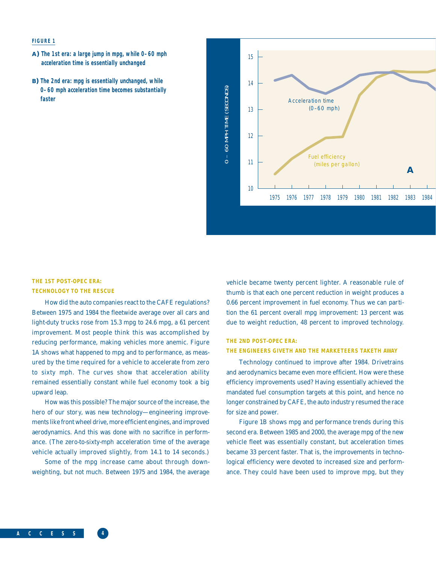### **FIGURE 1**

- **A) The 1st era: a large jump in mpg, while 0–60 mph acceleration time is essentially unchanged**
- **B) The 2nd era: mpg is essentially unchanged, while 0–60 mph acceleration time becomes substantially faster**



### **THE 1ST POST-OPEC ERA: TECHNOLOGY TO THE RESCUE**

How did the auto companies react to the CAFE regulations? Between 1975 and 1984 the fleetwide average over all cars and light-duty trucks rose from 15.3 mpg to 24.6 mpg, a 61 percent improvement. Most people think this was accomplished by reducing performance, making vehicles more anemic. Figure 1A shows what happened to mpg and to performance, as measured by the time required for a vehicle to accelerate from zero to sixty mph. The curves show that acceleration ability remained essentially constant while fuel economy took a big upward leap.

How was this possible? The major source of the increase, the hero of our story, was new technology—engineering improvements like front wheel drive, more efficient engines, and improved aerodynamics. And this was done with no sacrifice in performance. (The zero-to-sixty-mph acceleration time of the average vehicle actually improved slightly, from 14.1 to 14 seconds.)

Some of the mpg increase came about through downweighting, but not much. Between 1975 and 1984, the average vehicle became twenty percent lighter. A reasonable rule of thumb is that each one percent reduction in weight produces a 0.66 percent improvement in fuel economy. Thus we can partition the 61 percent overall mpg improvement: 13 percent was due to weight reduction, 48 percent to improved technology.

### **THE 2ND POST-OPEC ERA:**

#### **THE ENGINEERS GIVETH AND THE MARKETEERS TAKETH AWAY**

Technology continued to improve after 1984. Drivetrains and aerodynamics became even more efficient. How were these efficiency improvements used? Having essentially achieved the mandated fuel consumption targets at this point, and hence no longer constrained by CAFE, the auto industry resumed the race for size and power.

Figure 1B shows mpg and performance trends during this second era. Between 1985 and 2000, the average mpg of the new vehicle fleet was essentially constant, but acceleration times became 33 percent faster. That is, the improvements in technological efficiency were devoted to increased size and performance. They could have been used to improve mpg, but they

**A C C E S S 4**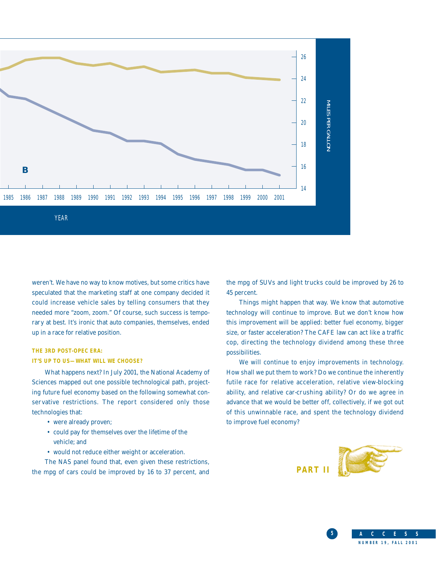

weren't. We have no way to know motives, but some critics have speculated that the marketing staff at one company decided it could increase vehicle sales by telling consumers that they needed more "zoom, zoom." Of course, such success is temporary at best. It's ironic that auto companies, themselves, ended up in a race for relative position.

### **THE 3RD POST-OPEC ERA: IT'S UP TO US—WHAT WILL WE CHOOSE?**

What happens next? In July 2001, the National Academy of Sciences mapped out one possible technological path, projecting future fuel economy based on the following somewhat conservative restrictions. The report considered only those technologies that:

- were already proven;
- could pay for themselves over the lifetime of the vehicle; and
- would not reduce either weight or acceleration.

The NAS panel found that, even given these restrictions, the mpg of cars could be improved by 16 to 37 percent, and the mpg of SUVs and light trucks could be improved by 26 to 45 percent.

Things might happen that way. We know that automotive technology will continue to improve. But we don't know how this improvement will be applied: better fuel economy, bigger size, or faster acceleration? The CAFE law can act like a traffic cop, directing the technology dividend among these three possibilities.

We will continue to enjoy improvements in technology. How shall we put them to work? Do we continue the inherently futile race for relative acceleration, relative view-blocking ability, and relative car-crushing ability? Or do we agree in advance that we would be better off, collectively, if we got out of this unwinnable race, and spent the technology dividend to improve fuel economy?



**5 A C C E S S**

**NUMBER 19, FALL 2001**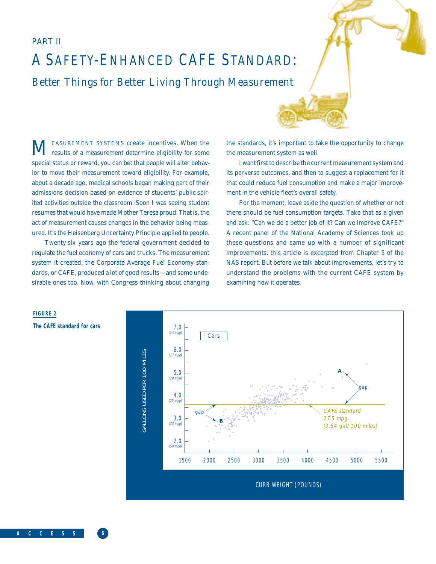### PART II

## *A SAFETY-ENHANCED CAFE STANDARD: Better Things for Better Living Through Measurement*

 $\mathbf M$  EASUREMENT SYSTEMS create incentives. When the results of a measurement determine eligibility for some special status or reward, you can bet that people will alter behavior to move their measurement toward eligibility. For example, about a decade ago, medical schools began making part of their admissions decision based on evidence of students' public-spirited activities outside the classroom. Soon I was seeing student resumes that would have made Mother Teresa proud. That is, the act of measurement causes changes in the behavior being measured. It's the Heisenberg Uncertainty Principle applied to people.

Twenty-six years ago the federal government decided to regulate the fuel economy of cars and trucks. The measurement system it created, the Corporate Average Fuel Economy standards, or CAFE, produced a lot of good results—and some undesirable ones too. Now, with Congress thinking about changing the standards, it's important to take the opportunity to change the measurement system as well.

I want first to describe the current measurement system and its perverse outcomes, and then to suggest a replacement for it that could reduce fuel consumption and make a major improvement in the vehicle fleet's overall safety.

For the moment, leave aside the question of whether or not there should be fuel consumption targets. Take that as a given and ask: "Can we do a better job of it? Can we improve CAFE?" A recent panel of the National Academy of Sciences took up these questions and came up with a number of significant improvements; this article is excerpted from Chapter 5 of the NAS report. But before we talk about improvements, let's try to understand the problems with the current CAFE system by examining how it operates.



**FIGURE 2**

### **The CAFE standard for cars**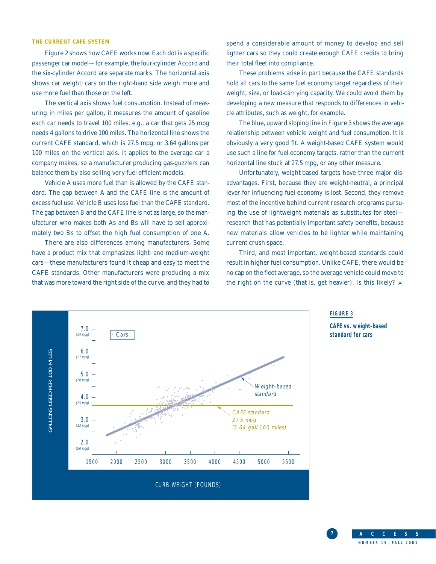### **THE CURRENT CAFE SYSTEM**

Figure 2 shows how CAFE works now. Each dot is a specific passenger car model—for example, the four-cylinder Accord and the six-cylinder Accord are separate marks. The horizontal axis shows car weight; cars on the right-hand side weigh more and use more fuel than those on the left.

The vertical axis shows fuel consumption. Instead of measuring in miles per gallon, it measures the amount of gasoline each car needs to travel 100 miles, e.g., a car that gets 25 mpg needs 4 gallons to drive 100 miles. The horizontal line shows the current CAFE standard, which is 27.5 mpg, or 3.64 gallons per 100 miles on the vertical axis. It applies to the average car a company makes, so a manufacturer producing gas-guzzlers can balance them by also selling very fuel-efficient models.

Vehicle A uses more fuel than is allowed by the CAFE standard. The gap between A and the CAFE line is the amount of excess fuel use. Vehicle B uses less fuel than the CAFE standard. The gap between B and the CAFE line is not as large, so the manufacturer who makes both As and Bs will have to sell approximately two Bs to offset the high fuel consumption of one A.

There are also differences among manufacturers. Some have a product mix that emphasizes light- and medium-weight cars—these manufacturers found it cheap and easy to meet the CAFE standards. Other manufacturers were producing a mix that was more toward the right side of the curve, and they had to

spend a considerable amount of money to develop and sell lighter cars so they could create enough CAFE credits to bring their total fleet into compliance.

These problems arise in part because the CAFE standards hold all cars to the same fuel economy target regardless of their weight, size, or load-carrying capacity. We could avoid them by developing a new measure that responds to differences in vehicle attributes, such as weight, for example.

The blue, upward sloping line in Figure 3 shows the average relationship between vehicle weight and fuel consumption. It is obviously a very good fit. A weight-based CAFE system would use such a line for fuel economy targets, rather than the current horizontal line stuck at 27.5 mpg, or any other measure.

Unfortunately, weight-based targets have three major disadvantages. First, because they are weight-neutral, a principal lever for influencing fuel economy is lost. Second, they remove most of the incentive behind current research programs pursuing the use of lightweight materials as substitutes for steel research that has potentially important safety benefits, because new materials allow vehicles to be lighter while maintaining current crush-space.

Third, and most important, weight-based standards could result in higher fuel consumption. Unlike CAFE, there would be no cap on the fleet average, so the average vehicle could move to the right on the curve (that is, get heavier). Is this likely?  $\triangleright$ 



### **FIGURE 3**

**CAFE vs. weight-based**

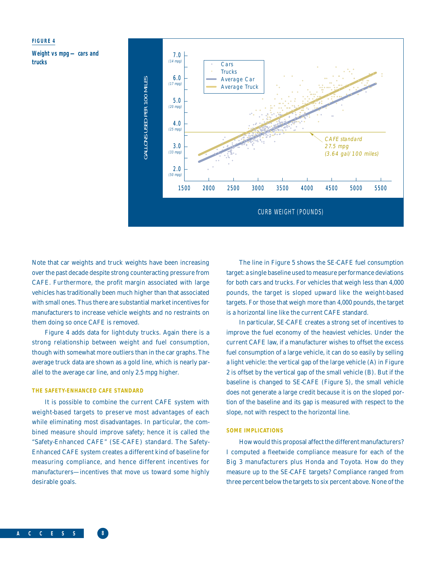### **FIGURE 4**

**Weight vs mpg — cars and trucks**



Note that car weights and truck weights have been increasing over the past decade despite strong counteracting pressure from CAFE. Furthermore, the profit margin associated with large vehicles has traditionally been much higher than that associated with small ones. Thus there are substantial market incentives for manufacturers to increase vehicle weights and no restraints on them doing so once CAFE is removed.

Figure 4 adds data for light-duty trucks. Again there is a strong relationship between weight and fuel consumption, though with somewhat more outliers than in the car graphs. The average truck data are shown as a gold line, which is nearly parallel to the average car line, and only 2.5 mpg higher.

### **THE SAFETY-ENHANCED CAFE STANDARD**

It is possible to combine the current CAFE system with weight-based targets to preserve most advantages of each while eliminating most disadvantages. In particular, the combined measure should improve safety; hence it is called the "Safety-Enhanced CAFE" (SE-CAFE) standard. The Safety-Enhanced CAFE system creates a different kind of baseline for measuring compliance, and hence different incentives for manufacturers—incentives that move us toward some highly desirable goals.

The line in Figure 5 shows the SE-CAFE fuel consumption target: a single baseline used to measure performance deviations for both cars and trucks. For vehicles that weigh less than 4,000 pounds, the target is sloped upward like the weight-based targets. For those that weigh more than 4,000 pounds, the target is a horizontal line like the current CAFE standard.

In particular, SE-CAFE creates a strong set of incentives to improve the fuel economy of the heaviest vehicles. Under the current CAFE law, if a manufacturer wishes to offset the excess fuel consumption of a large vehicle, it can do so easily by selling a light vehicle: the vertical gap of the large vehicle (A) in Figure 2 is offset by the vertical gap of the small vehicle (B). But if the baseline is changed to SE-CAFE (Figure 5), the small vehicle does not generate a large credit because it is on the sloped portion of the baseline and its gap is measured with respect to the slope, not with respect to the horizontal line.

### **SOME IMPLICATIONS**

How would this proposal affect the different manufacturers? I computed a fleetwide compliance measure for each of the Big 3 manufacturers plus Honda and Toyota. How do they measure up to the SE-CAFE targets? Compliance ranged from three percent below the targets to six percent above. None of the

**A C C E S S 8**